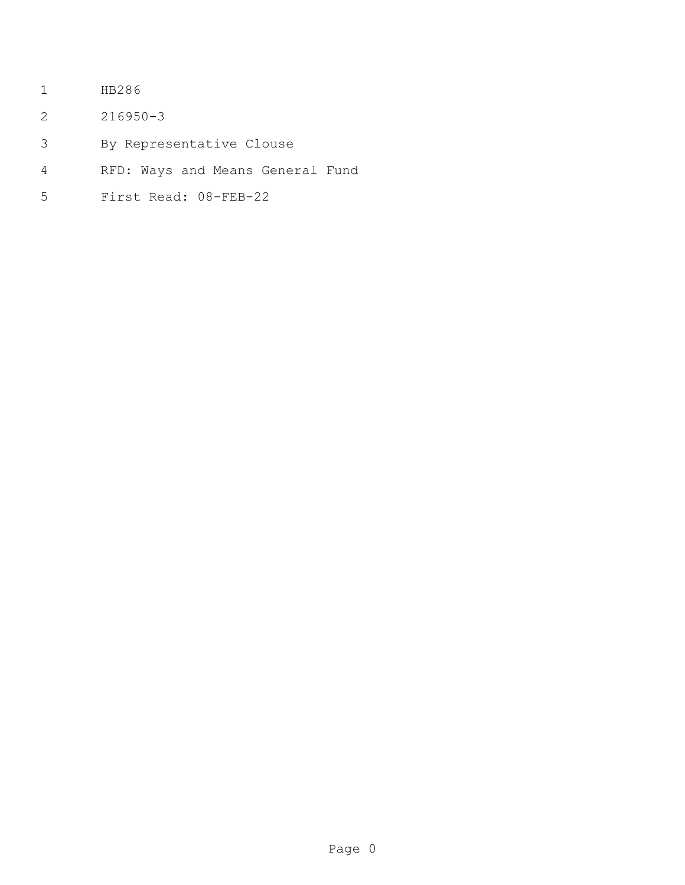- HB286
- 216950-3
- By Representative Clouse
- RFD: Ways and Means General Fund
- First Read: 08-FEB-22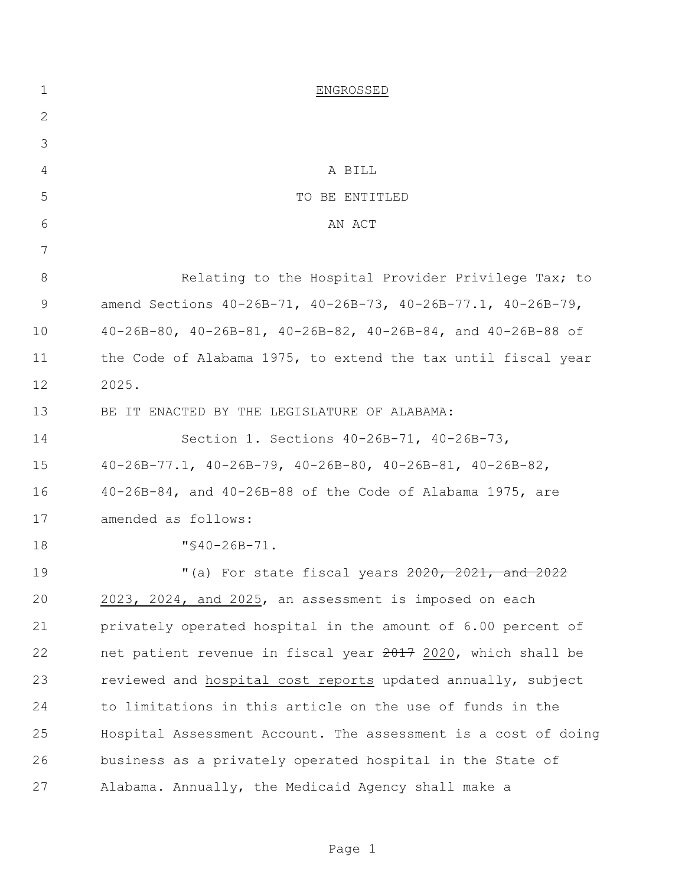| $\mathbf 1$   | ENGROSSED                                                               |
|---------------|-------------------------------------------------------------------------|
| $\mathbf{2}$  |                                                                         |
| 3             |                                                                         |
| 4             | A BILL                                                                  |
| 5             | TO BE ENTITLED                                                          |
| 6             | AN ACT                                                                  |
| 7             |                                                                         |
| 8             | Relating to the Hospital Provider Privilege Tax; to                     |
| $\mathcal{G}$ | amend Sections 40-26B-71, 40-26B-73, 40-26B-77.1, 40-26B-79,            |
| 10            | 40-26B-80, 40-26B-81, 40-26B-82, 40-26B-84, and 40-26B-88 of            |
| 11            | the Code of Alabama 1975, to extend the tax until fiscal year           |
| 12            | 2025.                                                                   |
| 13            | BE IT ENACTED BY THE LEGISLATURE OF ALABAMA:                            |
| 14            | Section 1. Sections 40-26B-71, 40-26B-73,                               |
| 15            | $40-26B-77.1$ , $40-26B-79$ , $40-26B-80$ , $40-26B-81$ , $40-26B-82$ , |
| 16            | $40 - 26B - 84$ , and $40 - 26B - 88$ of the Code of Alabama 1975, are  |
| 17            | amended as follows:                                                     |
| 18            | $"$ \$40-26B-71.                                                        |
| 19            | "(a) For state fiscal years 2020, 2021, and 2022                        |
| 20            | 2023, 2024, and 2025, an assessment is imposed on each                  |
| 21            | privately operated hospital in the amount of 6.00 percent of            |
| 22            | net patient revenue in fiscal year 2017 2020, which shall be            |
| 23            | reviewed and hospital cost reports updated annually, subject            |
| 24            | to limitations in this article on the use of funds in the               |
| 25            | Hospital Assessment Account. The assessment is a cost of doing          |
| 26            | business as a privately operated hospital in the State of               |
| 27            | Alabama. Annually, the Medicaid Agency shall make a                     |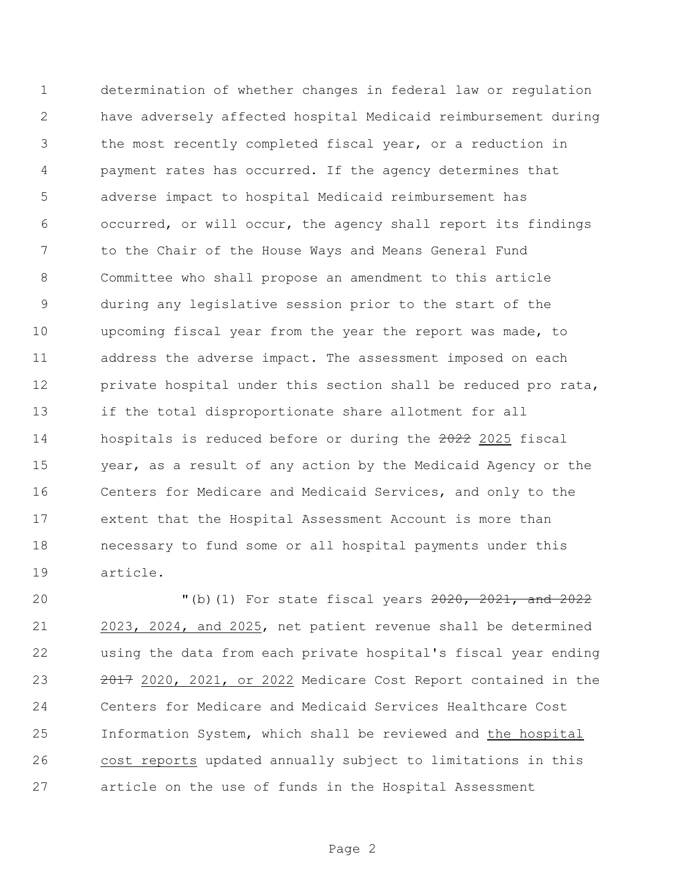determination of whether changes in federal law or regulation have adversely affected hospital Medicaid reimbursement during the most recently completed fiscal year, or a reduction in payment rates has occurred. If the agency determines that adverse impact to hospital Medicaid reimbursement has occurred, or will occur, the agency shall report its findings to the Chair of the House Ways and Means General Fund Committee who shall propose an amendment to this article during any legislative session prior to the start of the upcoming fiscal year from the year the report was made, to address the adverse impact. The assessment imposed on each private hospital under this section shall be reduced pro rata, if the total disproportionate share allotment for all 14 hospitals is reduced before or during the 2022 2025 fiscal year, as a result of any action by the Medicaid Agency or the Centers for Medicare and Medicaid Services, and only to the extent that the Hospital Assessment Account is more than necessary to fund some or all hospital payments under this article.

**"**(b)(1) For state fiscal years 2020, 2021, and 2022 2023, 2024, and 2025, net patient revenue shall be determined using the data from each private hospital's fiscal year ending 23 2017 2020, 2021, or 2022 Medicare Cost Report contained in the Centers for Medicare and Medicaid Services Healthcare Cost Information System, which shall be reviewed and the hospital cost reports updated annually subject to limitations in this article on the use of funds in the Hospital Assessment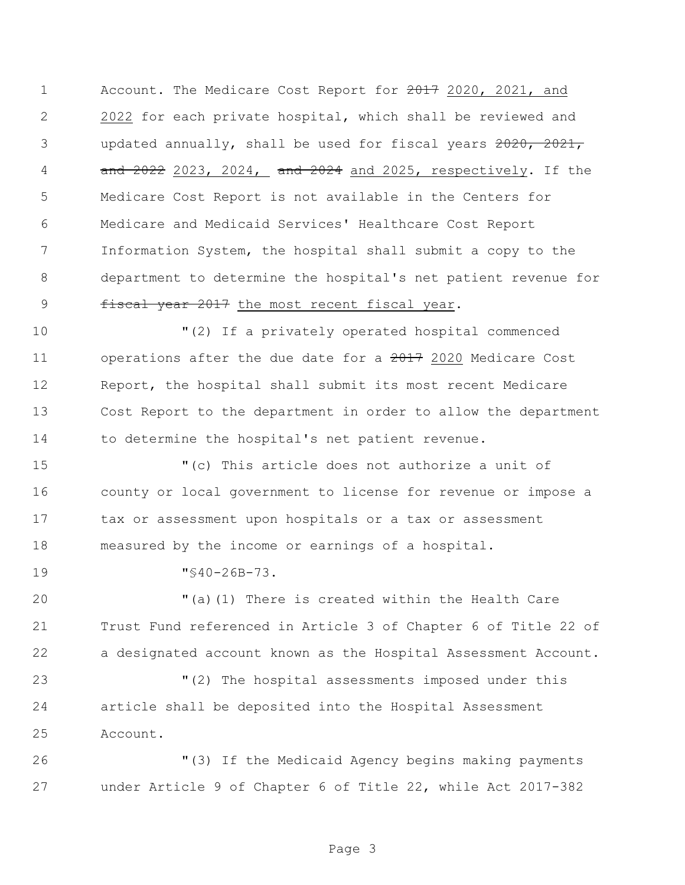1 Account. The Medicare Cost Report for 2020, 2021, and 2022 for each private hospital, which shall be reviewed and 3 updated annually, shall be used for fiscal years ,  $2021$ , 4 and 2022 2023, 2024, and 2024 and 2025, respectively. If the Medicare Cost Report is not available in the Centers for Medicare and Medicaid Services' Healthcare Cost Report Information System, the hospital shall submit a copy to the department to determine the hospital's net patient revenue for **fiscal year 2017** the most recent fiscal year.

 "(2) If a privately operated hospital commenced 11 operations after the due date for a 2017 2020 Medicare Cost Report, the hospital shall submit its most recent Medicare Cost Report to the department in order to allow the department 14 to determine the hospital's net patient revenue.

 "(c) This article does not authorize a unit of county or local government to license for revenue or impose a tax or assessment upon hospitals or a tax or assessment measured by the income or earnings of a hospital.

"§40-26B-73.

 "(a)(1) There is created within the Health Care Trust Fund referenced in Article 3 of Chapter 6 of Title 22 of a designated account known as the Hospital Assessment Account.

 "(2) The hospital assessments imposed under this article shall be deposited into the Hospital Assessment Account.

 "(3) If the Medicaid Agency begins making payments under Article 9 of Chapter 6 of Title 22, while Act 2017-382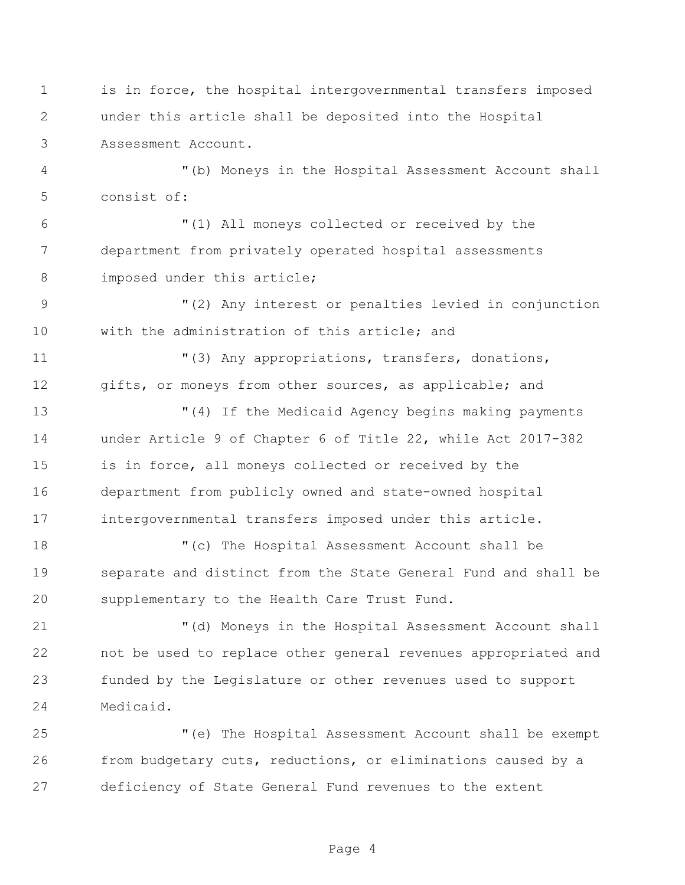1 is in force, the hospital intergovernmental transfers imposed under this article shall be deposited into the Hospital Assessment Account. "(b) Moneys in the Hospital Assessment Account shall consist of: "(1) All moneys collected or received by the department from privately operated hospital assessments 8 imposed under this article; "(2) Any interest or penalties levied in conjunction with the administration of this article; and  $(3)$  Any appropriations, transfers, donations, 12 gifts, or moneys from other sources, as applicable; and "(4) If the Medicaid Agency begins making payments under Article 9 of Chapter 6 of Title 22, while Act 2017-382 is in force, all moneys collected or received by the department from publicly owned and state-owned hospital intergovernmental transfers imposed under this article. "(c) The Hospital Assessment Account shall be separate and distinct from the State General Fund and shall be supplementary to the Health Care Trust Fund. "(d) Moneys in the Hospital Assessment Account shall not be used to replace other general revenues appropriated and funded by the Legislature or other revenues used to support Medicaid.

 "(e) The Hospital Assessment Account shall be exempt from budgetary cuts, reductions, or eliminations caused by a deficiency of State General Fund revenues to the extent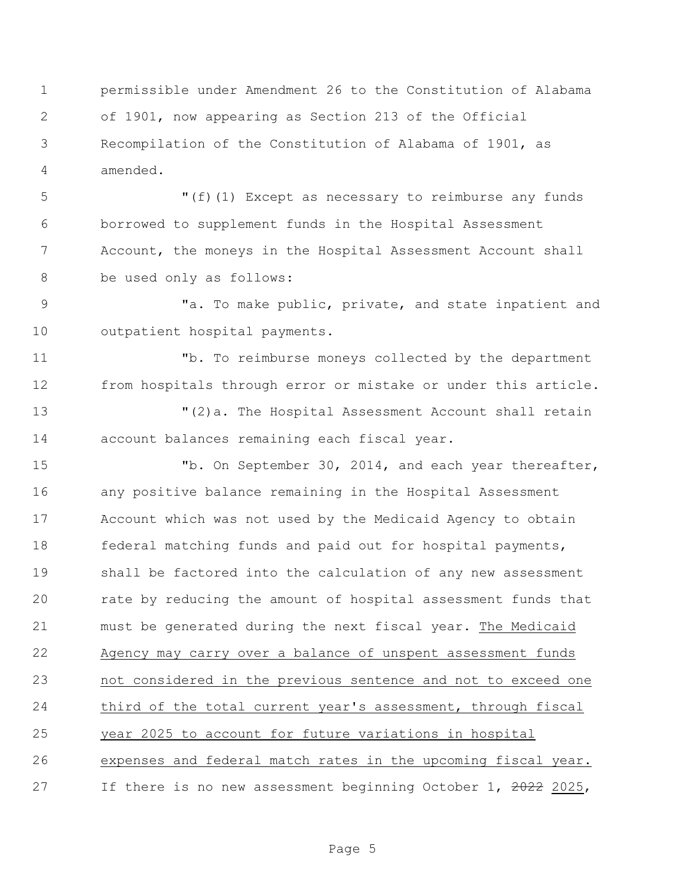permissible under Amendment 26 to the Constitution of Alabama of 1901, now appearing as Section 213 of the Official Recompilation of the Constitution of Alabama of 1901, as amended.

 "(f)(1) Except as necessary to reimburse any funds borrowed to supplement funds in the Hospital Assessment Account, the moneys in the Hospital Assessment Account shall be used only as follows:

9 Ta. To make public, private, and state inpatient and outpatient hospital payments.

 "b. To reimburse moneys collected by the department from hospitals through error or mistake or under this article.

 "(2)a. The Hospital Assessment Account shall retain account balances remaining each fiscal year.

 "b. On September 30, 2014, and each year thereafter, any positive balance remaining in the Hospital Assessment Account which was not used by the Medicaid Agency to obtain federal matching funds and paid out for hospital payments, shall be factored into the calculation of any new assessment rate by reducing the amount of hospital assessment funds that must be generated during the next fiscal year. The Medicaid Agency may carry over a balance of unspent assessment funds not considered in the previous sentence and not to exceed one third of the total current year's assessment, through fiscal year 2025 to account for future variations in hospital expenses and federal match rates in the upcoming fiscal year. 27 If there is no new assessment beginning October 1, 2022 2025,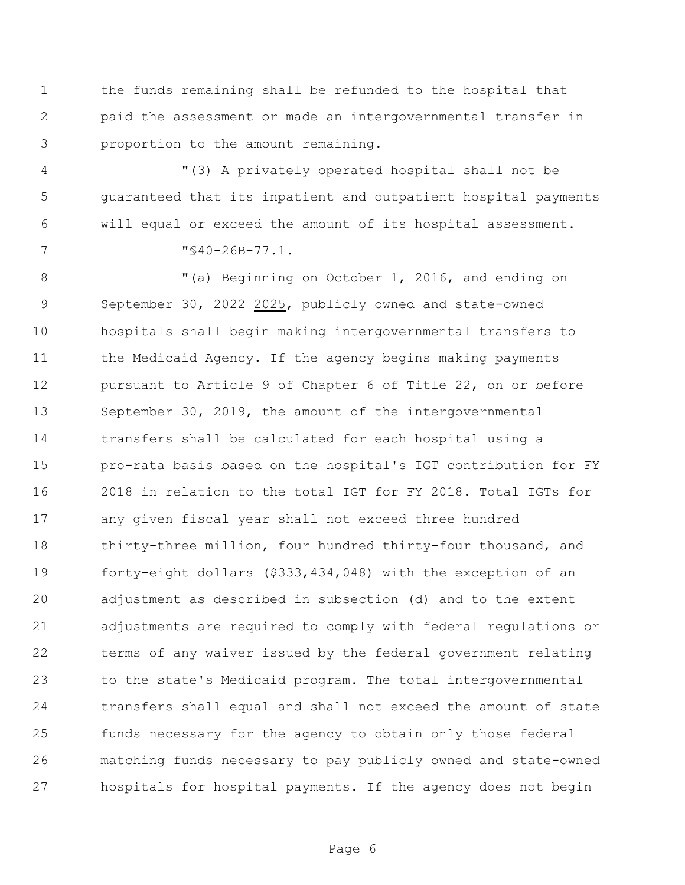the funds remaining shall be refunded to the hospital that paid the assessment or made an intergovernmental transfer in proportion to the amount remaining.

 "(3) A privately operated hospital shall not be guaranteed that its inpatient and outpatient hospital payments will equal or exceed the amount of its hospital assessment. "§40-26B-77.1.

8 "(a) Beginning on October 1, 2016, and ending on 9 September 30, 2022 2025, publicly owned and state-owned hospitals shall begin making intergovernmental transfers to 11 the Medicaid Agency. If the agency begins making payments pursuant to Article 9 of Chapter 6 of Title 22, on or before September 30, 2019, the amount of the intergovernmental transfers shall be calculated for each hospital using a pro-rata basis based on the hospital's IGT contribution for FY 2018 in relation to the total IGT for FY 2018. Total IGTs for any given fiscal year shall not exceed three hundred thirty-three million, four hundred thirty-four thousand, and forty-eight dollars (\$333,434,048) with the exception of an adjustment as described in subsection (d) and to the extent adjustments are required to comply with federal regulations or terms of any waiver issued by the federal government relating to the state's Medicaid program. The total intergovernmental transfers shall equal and shall not exceed the amount of state funds necessary for the agency to obtain only those federal matching funds necessary to pay publicly owned and state-owned hospitals for hospital payments. If the agency does not begin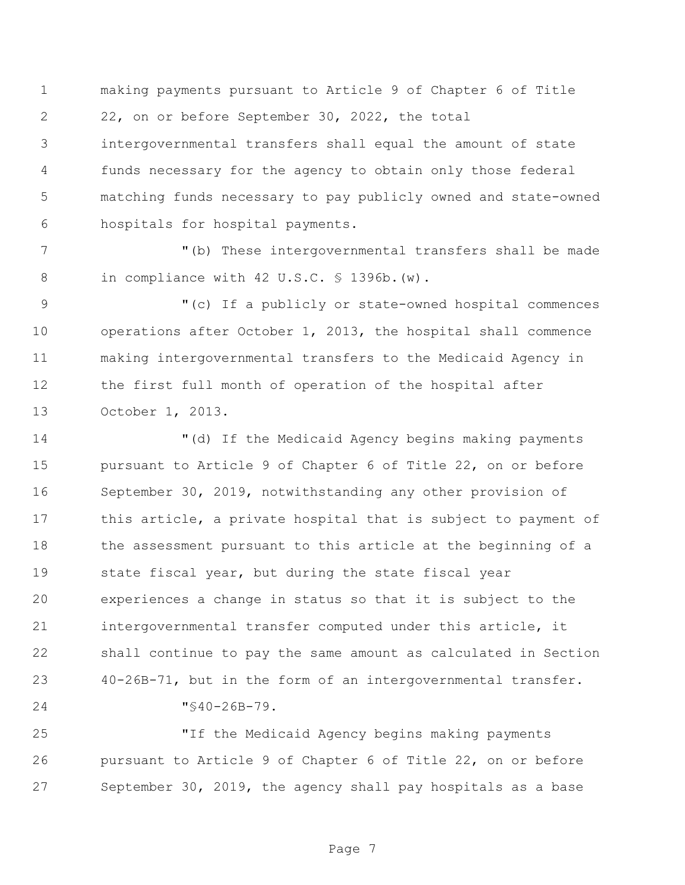making payments pursuant to Article 9 of Chapter 6 of Title 22, on or before September 30, 2022, the total intergovernmental transfers shall equal the amount of state funds necessary for the agency to obtain only those federal matching funds necessary to pay publicly owned and state-owned hospitals for hospital payments.

 "(b) These intergovernmental transfers shall be made 8 in compliance with 42 U.S.C. § 1396b. (w).

 "(c) If a publicly or state-owned hospital commences operations after October 1, 2013, the hospital shall commence making intergovernmental transfers to the Medicaid Agency in the first full month of operation of the hospital after October 1, 2013.

 "(d) If the Medicaid Agency begins making payments pursuant to Article 9 of Chapter 6 of Title 22, on or before September 30, 2019, notwithstanding any other provision of this article, a private hospital that is subject to payment of 18 the assessment pursuant to this article at the beginning of a state fiscal year, but during the state fiscal year experiences a change in status so that it is subject to the intergovernmental transfer computed under this article, it shall continue to pay the same amount as calculated in Section 40-26B-71, but in the form of an intergovernmental transfer. "§40-26B-79.

 "If the Medicaid Agency begins making payments pursuant to Article 9 of Chapter 6 of Title 22, on or before September 30, 2019, the agency shall pay hospitals as a base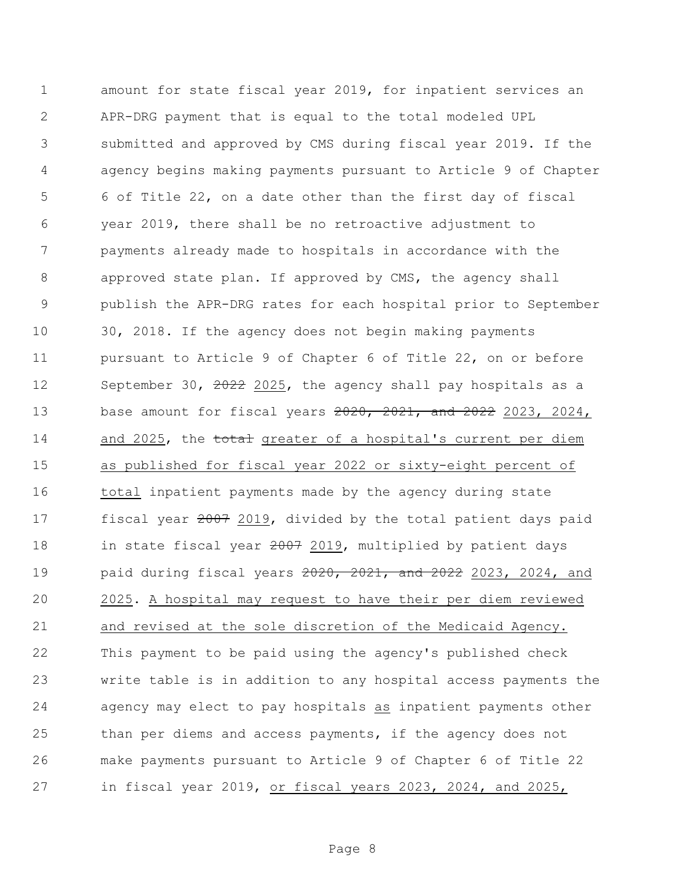amount for state fiscal year 2019, for inpatient services an APR-DRG payment that is equal to the total modeled UPL submitted and approved by CMS during fiscal year 2019. If the agency begins making payments pursuant to Article 9 of Chapter 6 of Title 22, on a date other than the first day of fiscal year 2019, there shall be no retroactive adjustment to payments already made to hospitals in accordance with the approved state plan. If approved by CMS, the agency shall publish the APR-DRG rates for each hospital prior to September 30, 2018. If the agency does not begin making payments pursuant to Article 9 of Chapter 6 of Title 22, on or before 12 September 30, 2025, the agency shall pay hospitals as a base amount for fiscal years 2020, 2021, and 2022 2023, 2024, 14 and 2025, the total greater of a hospital's current per diem as published for fiscal year 2022 or sixty-eight percent of total inpatient payments made by the agency during state 17 fiscal year 2019, divided by the total patient days paid 18 in state fiscal year 2007 2019, multiplied by patient days 19 paid during fiscal years  $2020, 2021,$  and  $2022$  2023, 2024, and 2025. A hospital may request to have their per diem reviewed and revised at the sole discretion of the Medicaid Agency. This payment to be paid using the agency's published check write table is in addition to any hospital access payments the agency may elect to pay hospitals as inpatient payments other than per diems and access payments, if the agency does not make payments pursuant to Article 9 of Chapter 6 of Title 22 in fiscal year 2019, or fiscal years 2023, 2024, and 2025,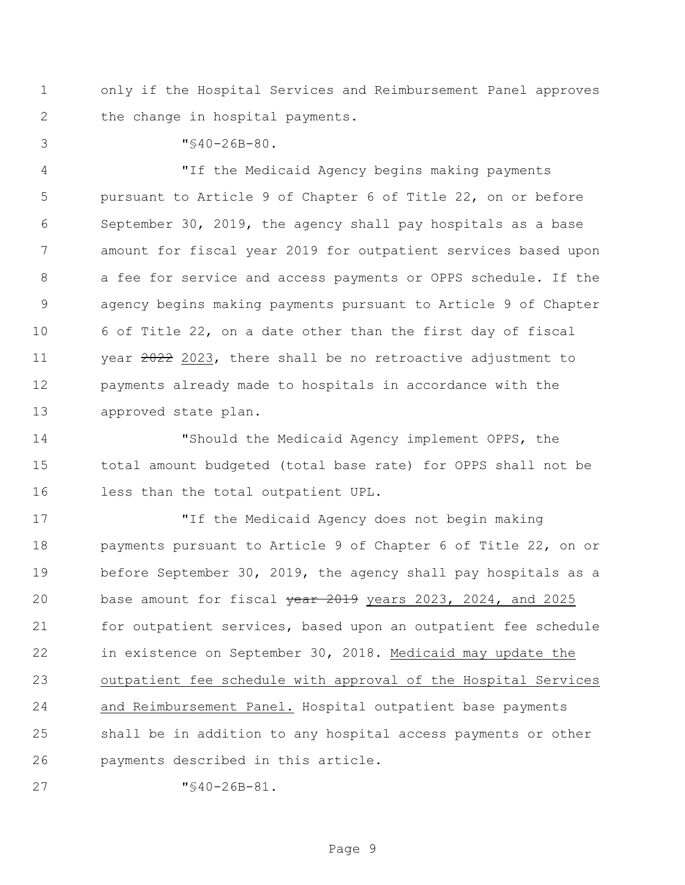only if the Hospital Services and Reimbursement Panel approves 2 the change in hospital payments.

"§40-26B-80.

 "If the Medicaid Agency begins making payments pursuant to Article 9 of Chapter 6 of Title 22, on or before September 30, 2019, the agency shall pay hospitals as a base amount for fiscal year 2019 for outpatient services based upon a fee for service and access payments or OPPS schedule. If the agency begins making payments pursuant to Article 9 of Chapter 6 of Title 22, on a date other than the first day of fiscal 11 year 2023, there shall be no retroactive adjustment to payments already made to hospitals in accordance with the approved state plan.

 "Should the Medicaid Agency implement OPPS, the total amount budgeted (total base rate) for OPPS shall not be less than the total outpatient UPL.

 "If the Medicaid Agency does not begin making payments pursuant to Article 9 of Chapter 6 of Title 22, on or before September 30, 2019, the agency shall pay hospitals as a 20 base amount for fiscal year 2019 years 2023, 2024, and 2025 for outpatient services, based upon an outpatient fee schedule in existence on September 30, 2018. Medicaid may update the outpatient fee schedule with approval of the Hospital Services and Reimbursement Panel. Hospital outpatient base payments shall be in addition to any hospital access payments or other payments described in this article.

"§40-26B-81.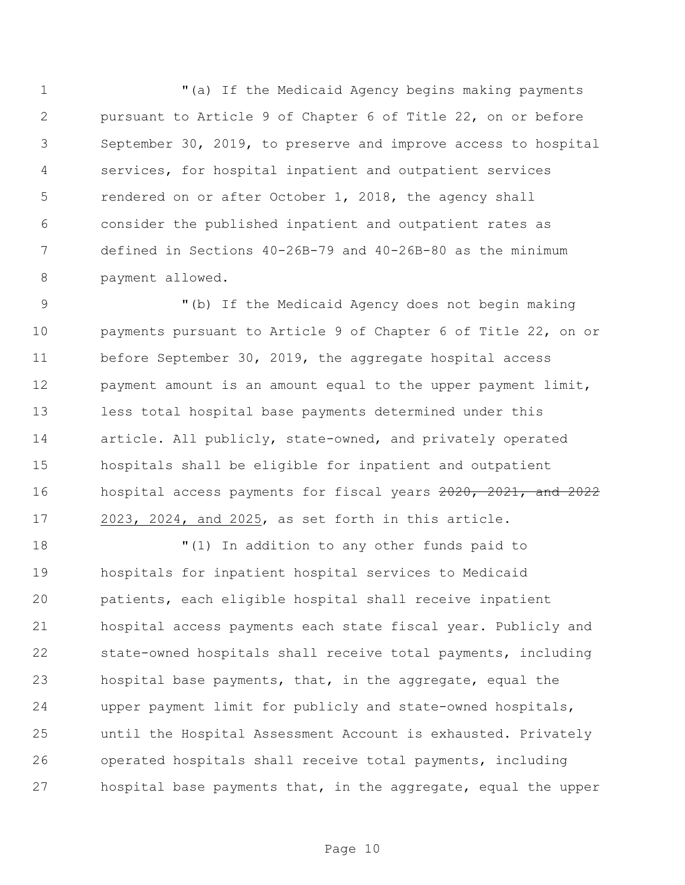"(a) If the Medicaid Agency begins making payments pursuant to Article 9 of Chapter 6 of Title 22, on or before September 30, 2019, to preserve and improve access to hospital services, for hospital inpatient and outpatient services rendered on or after October 1, 2018, the agency shall consider the published inpatient and outpatient rates as defined in Sections 40-26B-79 and 40-26B-80 as the minimum payment allowed.

 "(b) If the Medicaid Agency does not begin making payments pursuant to Article 9 of Chapter 6 of Title 22, on or before September 30, 2019, the aggregate hospital access payment amount is an amount equal to the upper payment limit, less total hospital base payments determined under this article. All publicly, state-owned, and privately operated hospitals shall be eligible for inpatient and outpatient hospital access payments for fiscal years 2020, 2021, and 2022 2023, 2024, and 2025, as set forth in this article.

 "(1) In addition to any other funds paid to hospitals for inpatient hospital services to Medicaid patients, each eligible hospital shall receive inpatient hospital access payments each state fiscal year. Publicly and state-owned hospitals shall receive total payments, including hospital base payments, that, in the aggregate, equal the upper payment limit for publicly and state-owned hospitals, until the Hospital Assessment Account is exhausted. Privately operated hospitals shall receive total payments, including hospital base payments that, in the aggregate, equal the upper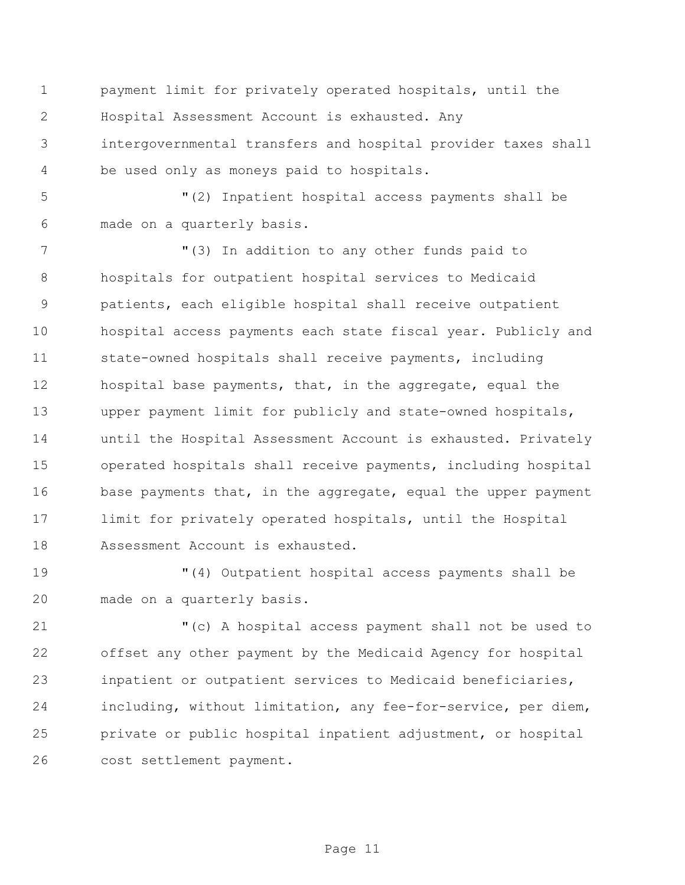payment limit for privately operated hospitals, until the Hospital Assessment Account is exhausted. Any intergovernmental transfers and hospital provider taxes shall be used only as moneys paid to hospitals.

 "(2) Inpatient hospital access payments shall be made on a quarterly basis.

 "(3) In addition to any other funds paid to hospitals for outpatient hospital services to Medicaid patients, each eligible hospital shall receive outpatient hospital access payments each state fiscal year. Publicly and state-owned hospitals shall receive payments, including 12 hospital base payments, that, in the aggregate, equal the upper payment limit for publicly and state-owned hospitals, until the Hospital Assessment Account is exhausted. Privately operated hospitals shall receive payments, including hospital base payments that, in the aggregate, equal the upper payment limit for privately operated hospitals, until the Hospital Assessment Account is exhausted.

 "(4) Outpatient hospital access payments shall be made on a quarterly basis.

 "(c) A hospital access payment shall not be used to offset any other payment by the Medicaid Agency for hospital inpatient or outpatient services to Medicaid beneficiaries, including, without limitation, any fee-for-service, per diem, private or public hospital inpatient adjustment, or hospital cost settlement payment.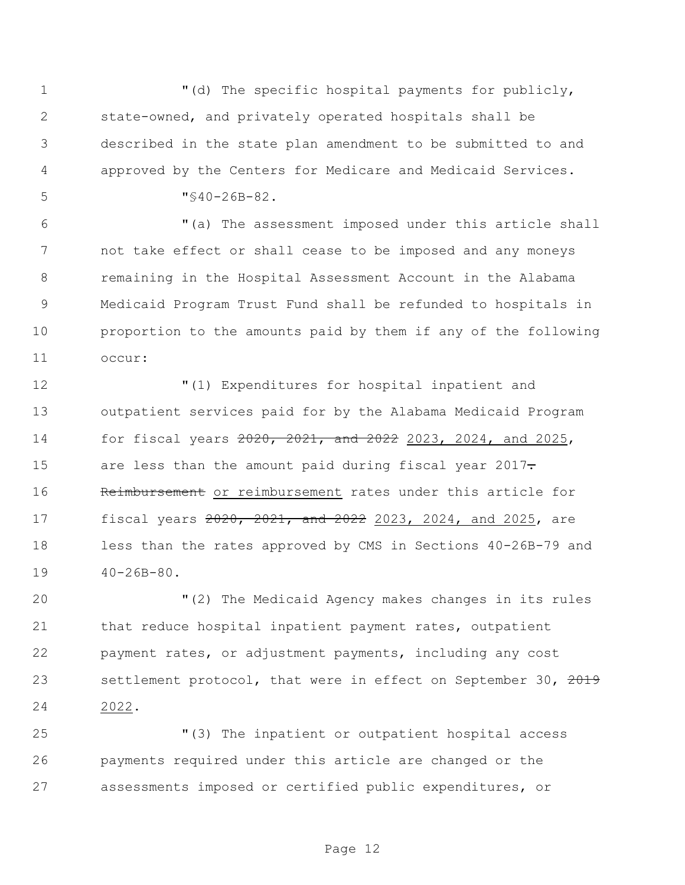1 "(d) The specific hospital payments for publicly, state-owned, and privately operated hospitals shall be described in the state plan amendment to be submitted to and approved by the Centers for Medicare and Medicaid Services.

"§40-26B-82.

 "(a) The assessment imposed under this article shall not take effect or shall cease to be imposed and any moneys remaining in the Hospital Assessment Account in the Alabama Medicaid Program Trust Fund shall be refunded to hospitals in proportion to the amounts paid by them if any of the following occur:

 "(1) Expenditures for hospital inpatient and outpatient services paid for by the Alabama Medicaid Program for fiscal years 2020, 2021, and 2022 2023, 2024, and 2025, 15 are less than the amount paid during fiscal year  $2017 \div$ 16 Reimbursement or reimbursement rates under this article for fiscal years 2020, 2021, and 2022 2023, 2024, and 2025, are less than the rates approved by CMS in Sections 40-26B-79 and 40-26B-80.

 "(2) The Medicaid Agency makes changes in its rules 21 that reduce hospital inpatient payment rates, outpatient payment rates, or adjustment payments, including any cost 23 settlement protocol, that were in effect on September 30, 2019 2022.

 "(3) The inpatient or outpatient hospital access payments required under this article are changed or the assessments imposed or certified public expenditures, or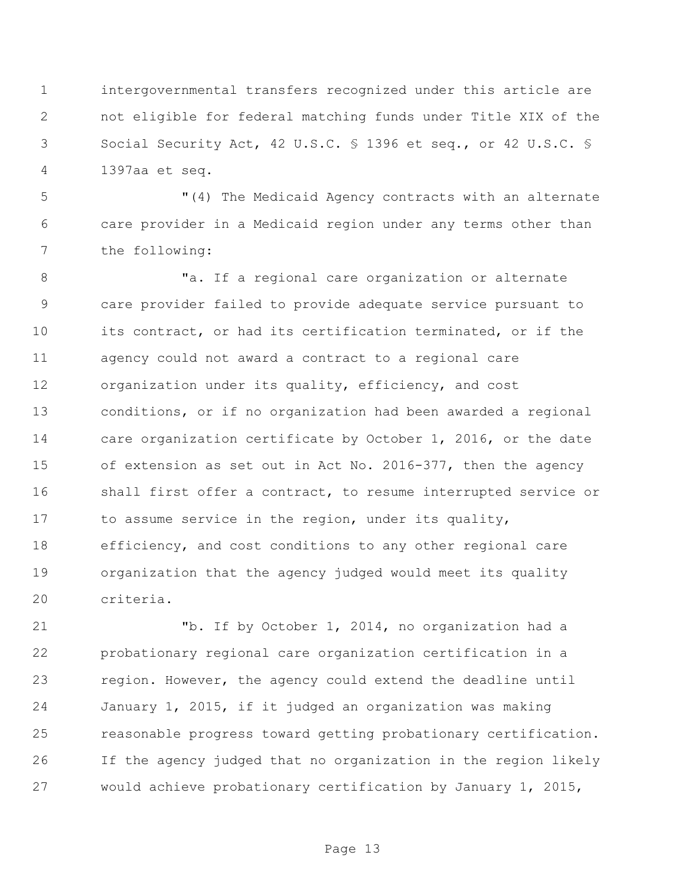intergovernmental transfers recognized under this article are not eligible for federal matching funds under Title XIX of the Social Security Act, 42 U.S.C. § 1396 et seq., or 42 U.S.C. § 1397aa et seq.

 "(4) The Medicaid Agency contracts with an alternate care provider in a Medicaid region under any terms other than the following:

8 Ta. If a regional care organization or alternate care provider failed to provide adequate service pursuant to its contract, or had its certification terminated, or if the agency could not award a contract to a regional care organization under its quality, efficiency, and cost conditions, or if no organization had been awarded a regional care organization certificate by October 1, 2016, or the date of extension as set out in Act No. 2016-377, then the agency shall first offer a contract, to resume interrupted service or 17 to assume service in the region, under its quality, 18 efficiency, and cost conditions to any other regional care organization that the agency judged would meet its quality criteria.

 "b. If by October 1, 2014, no organization had a probationary regional care organization certification in a region. However, the agency could extend the deadline until January 1, 2015, if it judged an organization was making reasonable progress toward getting probationary certification. If the agency judged that no organization in the region likely would achieve probationary certification by January 1, 2015,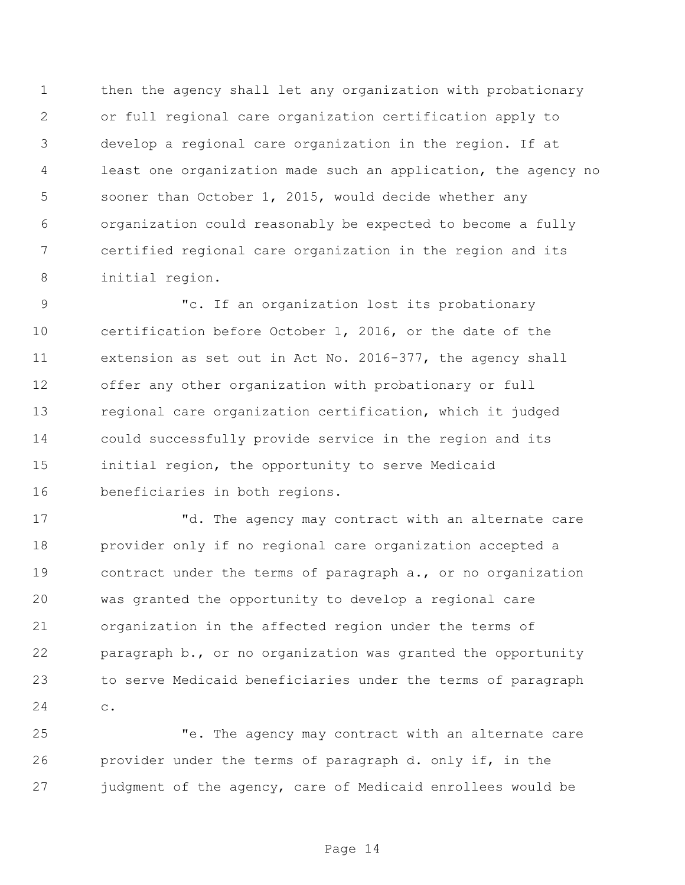then the agency shall let any organization with probationary or full regional care organization certification apply to develop a regional care organization in the region. If at least one organization made such an application, the agency no sooner than October 1, 2015, would decide whether any organization could reasonably be expected to become a fully certified regional care organization in the region and its initial region.

 "c. If an organization lost its probationary certification before October 1, 2016, or the date of the extension as set out in Act No. 2016-377, the agency shall offer any other organization with probationary or full regional care organization certification, which it judged could successfully provide service in the region and its initial region, the opportunity to serve Medicaid beneficiaries in both regions.

17 The agency may contract with an alternate care provider only if no regional care organization accepted a contract under the terms of paragraph a., or no organization was granted the opportunity to develop a regional care organization in the affected region under the terms of paragraph b., or no organization was granted the opportunity to serve Medicaid beneficiaries under the terms of paragraph c.

 "e. The agency may contract with an alternate care provider under the terms of paragraph d. only if, in the judgment of the agency, care of Medicaid enrollees would be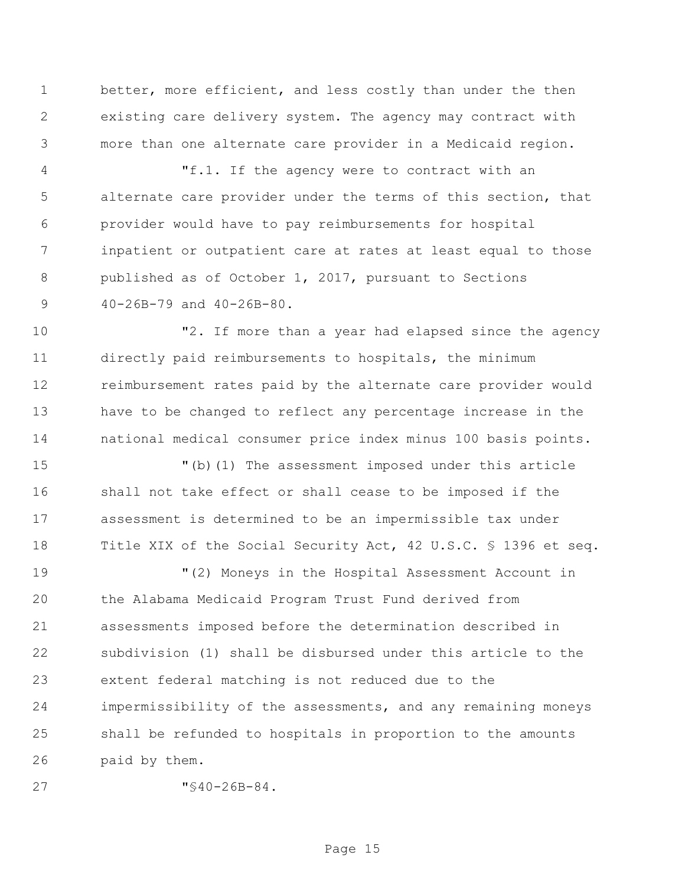better, more efficient, and less costly than under the then existing care delivery system. The agency may contract with more than one alternate care provider in a Medicaid region.

 "f.1. If the agency were to contract with an alternate care provider under the terms of this section, that provider would have to pay reimbursements for hospital inpatient or outpatient care at rates at least equal to those published as of October 1, 2017, pursuant to Sections 40-26B-79 and 40-26B-80.

 "2. If more than a year had elapsed since the agency directly paid reimbursements to hospitals, the minimum reimbursement rates paid by the alternate care provider would have to be changed to reflect any percentage increase in the national medical consumer price index minus 100 basis points.

 "(b)(1) The assessment imposed under this article shall not take effect or shall cease to be imposed if the assessment is determined to be an impermissible tax under Title XIX of the Social Security Act, 42 U.S.C. § 1396 et seq.

 "(2) Moneys in the Hospital Assessment Account in the Alabama Medicaid Program Trust Fund derived from assessments imposed before the determination described in subdivision (1) shall be disbursed under this article to the extent federal matching is not reduced due to the impermissibility of the assessments, and any remaining moneys shall be refunded to hospitals in proportion to the amounts paid by them.

"§40-26B-84.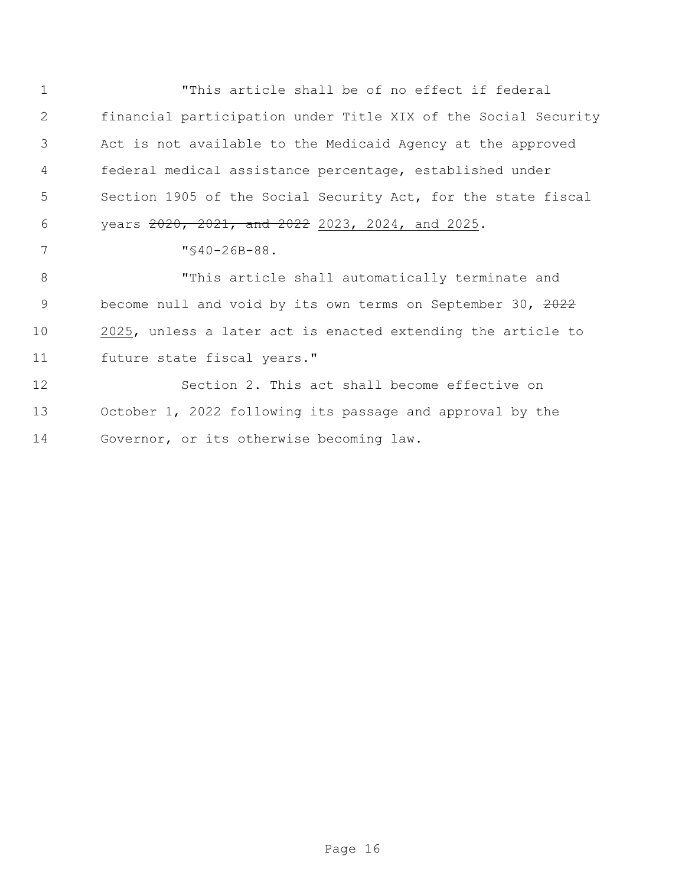"This article shall be of no effect if federal financial participation under Title XIX of the Social Security Act is not available to the Medicaid Agency at the approved federal medical assistance percentage, established under Section 1905 of the Social Security Act, for the state fiscal years 2020, 2021, and 2022 2023, 2024, and 2025.  $\sqrt{940-26B-88}$ .

8 This article shall automatically terminate and 9 become null and void by its own terms on September 30, 2022 2025, unless a later act is enacted extending the article to

future state fiscal years."

 Section 2. This act shall become effective on October 1, 2022 following its passage and approval by the Governor, or its otherwise becoming law.